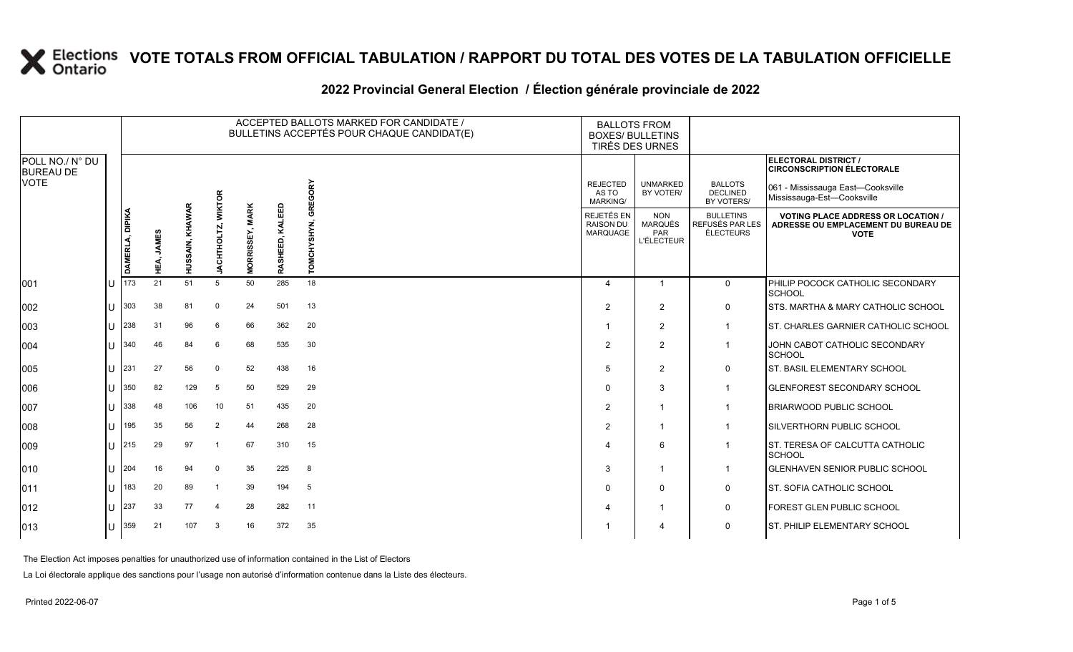|                                     |     |                 |                      |                 |                    |                                  |                    | ACCEPTED BALLOTS MARKED FOR CANDIDATE /<br>BULLETINS ACCEPTÉS POUR CHAQUE CANDIDAT(E) |                                                          | <b>BALLOTS FROM</b><br><b>BOXES/ BULLETINS</b><br>TIRÉS DES URNES |                                                         |                                                                                                 |
|-------------------------------------|-----|-----------------|----------------------|-----------------|--------------------|----------------------------------|--------------------|---------------------------------------------------------------------------------------|----------------------------------------------------------|-------------------------------------------------------------------|---------------------------------------------------------|-------------------------------------------------------------------------------------------------|
| POLL NO./ N° DU<br><b>BUREAU DE</b> |     |                 |                      |                 |                    |                                  |                    |                                                                                       |                                                          |                                                                   |                                                         | ELECTORAL DISTRICT /<br><b>CIRCONSCRIPTION ÉLECTORALE</b>                                       |
| <b>VOTE</b>                         |     |                 |                      |                 | <b>WIKTOR</b>      |                                  |                    | GORY                                                                                  | <b>REJECTED</b><br>AS TO<br><b>MARKING/</b>              | <b>UNMARKED</b><br>BY VOTER/                                      | <b>BALLOTS</b><br><b>DECLINED</b><br>BY VOTERS/         | 061 - Mississauga East-Cooksville<br>Mississauga-Est-Cooksville                                 |
|                                     |     | DAMERLA, DIPIKA | <b>JAMES</b><br>НÉА, | HUSSAIN, KHAWAR | <b>JACHTHOLTZ,</b> | <b>MARK</b><br><b>MORRISSEY,</b> | KALEED<br>RASHEED, | ğ<br>HYSHYN,<br>Š                                                                     | <b>REJETÉS EN</b><br><b>RAISON DU</b><br><b>MARQUAGE</b> | <b>NON</b><br><b>MARQUÉS</b><br>PAR<br><b>L'ÉLECTEUR</b>          | <b>BULLETINS</b><br>REFUSÉS PAR LES<br><b>ÉLECTEURS</b> | <b>VOTING PLACE ADDRESS OR LOCATION /</b><br>ADRESSE OU EMPLACEMENT DU BUREAU DE<br><b>VOTE</b> |
| 001                                 |     | 173             | 21                   | 51              | 5                  | 50                               | 285                | 18                                                                                    | 4                                                        |                                                                   | $\mathbf 0$                                             | PHILIP POCOCK CATHOLIC SECONDARY<br><b>SCHOOL</b>                                               |
| 002                                 |     | 303             | 38                   | 81              | $\Omega$           | 24                               | 501                | 13                                                                                    | $\overline{2}$                                           | 2                                                                 | $\mathbf 0$                                             | ISTS. MARTHA & MARY CATHOLIC SCHOOL                                                             |
| 003                                 |     | 238             | 31                   | 96              | 6                  | 66                               | 362                | 20                                                                                    | -1                                                       | 2                                                                 | $\overline{\mathbf{1}}$                                 | IST. CHARLES GARNIER CATHOLIC SCHOOL                                                            |
| 004                                 |     | 340             | 46                   | 84              | 6                  | 68                               | 535                | 30                                                                                    | $\overline{2}$                                           | $\overline{2}$                                                    | $\overline{\mathbf{1}}$                                 | JOHN CABOT CATHOLIC SECONDARY<br><b>SCHOOL</b>                                                  |
| 005                                 |     | 231             | 27                   | 56              | $\Omega$           | 52                               | 438                | 16                                                                                    | 5                                                        | 2                                                                 | $\mathbf 0$                                             | <b>ST. BASIL ELEMENTARY SCHOOL</b>                                                              |
| 006                                 |     | 350             | 82                   | 129             | 5                  | 50                               | 529                | 29                                                                                    | $\Omega$                                                 | 3                                                                 | $\overline{\mathbf{1}}$                                 | <b>GLENFOREST SECONDARY SCHOOL</b>                                                              |
| 007                                 |     | 338             | 48                   | 106             | 10                 | 51                               | 435                | 20                                                                                    | $\overline{2}$                                           | $\overline{1}$                                                    | $\overline{\mathbf{1}}$                                 | <b>BRIARWOOD PUBLIC SCHOOL</b>                                                                  |
| 008                                 |     | 195             | 35                   | 56              | 2                  | 44                               | 268                | 28                                                                                    | $\overline{2}$                                           | -1                                                                | -1                                                      | SILVERTHORN PUBLIC SCHOOL                                                                       |
| 009                                 |     | 215             | 29                   | 97              | -1                 | 67                               | 310                | 15                                                                                    | 4                                                        | 6                                                                 | -1                                                      | ST. TERESA OF CALCUTTA CATHOLIC<br><b>SCHOOL</b>                                                |
| 010                                 |     | 204             | 16                   | 94              | $\Omega$           | 35                               | 225                | 8                                                                                     | 3                                                        | $\overline{\mathbf{1}}$                                           | -1                                                      | <b>GLENHAVEN SENIOR PUBLIC SCHOOL</b>                                                           |
| 011                                 |     | 183             | 20                   | 89              | -1                 | 39                               | 194                | 5                                                                                     | $\Omega$                                                 | 0                                                                 | 0                                                       | <b>ST. SOFIA CATHOLIC SCHOOL</b>                                                                |
| 012                                 | IU. | 237             | 33                   | 77              | $\overline{4}$     | 28                               | 282                | 11                                                                                    | 4                                                        |                                                                   | $\mathbf 0$                                             | FOREST GLEN PUBLIC SCHOOL                                                                       |

013 U 359 21 107 3 16 372 35 1 4 0 ST. PHILIP ELEMENTARY SCHOOL

### **2022 Provincial General Election / Élection générale provinciale de 2022**

The Election Act imposes penalties for unauthorized use of information contained in the List of Electors

La Loi électorale applique des sanctions pour l'usage non autorisé d'information contenue dans la Liste des électeurs.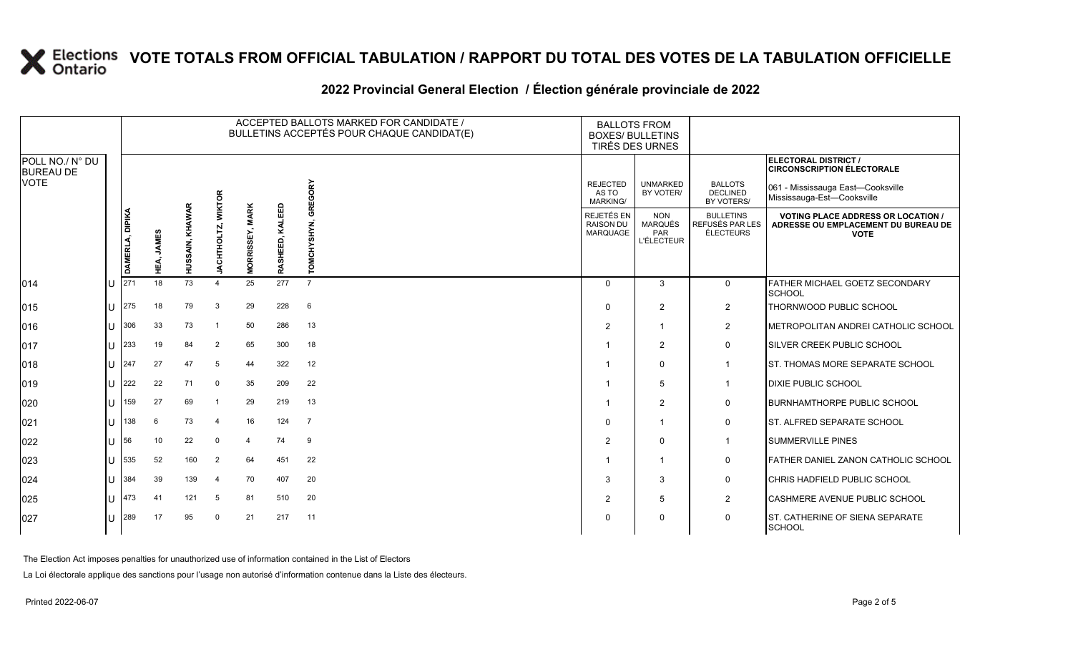#### **2022 Provincial General Election / Élection générale provinciale de 2022**

|                                     |    |                 |                      |                 |                    |                                  |                    | ACCEPTED BALLOTS MARKED FOR CANDIDATE /<br>BULLETINS ACCEPTÉS POUR CHAQUE CANDIDAT(E) | <b>BALLOTS FROM</b><br><b>BOXES/ BULLETINS</b><br>TIRÉS DES URNES |                                                                 |                                                  |                                                                                                 |
|-------------------------------------|----|-----------------|----------------------|-----------------|--------------------|----------------------------------|--------------------|---------------------------------------------------------------------------------------|-------------------------------------------------------------------|-----------------------------------------------------------------|--------------------------------------------------|-------------------------------------------------------------------------------------------------|
| POLL NO./ N° DU<br><b>BUREAU DE</b> |    |                 |                      |                 |                    |                                  |                    |                                                                                       |                                                                   |                                                                 |                                                  | ELECTORAL DISTRICT /<br><b>CIRCONSCRIPTION ÉLECTORALE</b>                                       |
| <b>VOTE</b>                         |    |                 |                      |                 | <b>WIKTOR</b>      |                                  |                    | GREGORY                                                                               | <b>REJECTED</b><br>AS TO<br><b>MARKING/</b>                       | <b>UNMARKED</b><br>BY VOTER/                                    | <b>BALLOTS</b><br><b>DECLINED</b><br>BY VOTERS/  | 061 - Mississauga East-Cooksville<br>Mississauga-Est-Cooksville                                 |
|                                     |    | DAMERLA, DIPIKA | <b>JAMES</b><br>HEÁ, | HUSSAIN, KHAWAR | <b>JACHTHOLTZ,</b> | <b>MARK</b><br><b>MORRISSEY,</b> | KALEED<br>RASHEED, | YSHYN,<br>TOM                                                                         | <b>REJETÉS EN</b><br><b>RAISON DU</b><br><b>MARQUAGE</b>          | <b>NON</b><br><b>MARQUÉS</b><br><b>PAR</b><br><b>L'ÉLECTEUR</b> | <b>BULLETINS</b><br>REFUSÉS PAR LES<br>ÉLECTEURS | <b>VOTING PLACE ADDRESS OR LOCATION /</b><br>ADRESSE OU EMPLACEMENT DU BUREAU DE<br><b>VOTE</b> |
| $ 014\rangle$                       | ΙU | 271             | 18                   | 73              | Δ                  | 25                               | 277                | $\overline{7}$                                                                        | $\Omega$                                                          | 3                                                               | $\overline{0}$                                   | <b>FATHER MICHAEL GOETZ SECONDARY</b><br><b>SCHOOL</b>                                          |
| 015                                 | lu | 275             | 18                   | 79              | 3                  | 29                               | 228                | 6                                                                                     | $\Omega$                                                          | 2                                                               | $\overline{2}$                                   | THORNWOOD PUBLIC SCHOOL                                                                         |
| 016                                 | IΠ | 306             | 33                   | 73              |                    | 50                               | 286                | 13                                                                                    | $\overline{2}$                                                    | $\mathbf{1}$                                                    | $\overline{2}$                                   | METROPOLITAN ANDREI CATHOLIC SCHOOL                                                             |
| 017                                 | lU | 233             | 19                   | 84              | 2                  | 65                               | 300                | 18                                                                                    |                                                                   | $\overline{2}$                                                  | $\mathbf 0$                                      | <b>ISILVER CREEK PUBLIC SCHOOL</b>                                                              |
| 018                                 | ΙU | 247             | 27                   | 47              | 5                  | 44                               | 322                | 12                                                                                    |                                                                   | $\Omega$                                                        | $\overline{1}$                                   | <b>IST. THOMAS MORE SEPARATE SCHOOL</b>                                                         |
| 019                                 | IП | 222             | 22                   | 71              | $\mathbf 0$        | 35                               | 209                | 22                                                                                    | -1                                                                | 5                                                               | $\overline{1}$                                   | <b>DIXIE PUBLIC SCHOOL</b>                                                                      |
| 020                                 | ΙU | 159             | 27                   | 69              |                    | 29                               | 219                | 13                                                                                    |                                                                   | $\overline{2}$                                                  | $\mathbf 0$                                      | <b>BURNHAMTHORPE PUBLIC SCHOOL</b>                                                              |
| 021                                 | ΙU | 138             | 6                    | 73              | 4                  | 16                               | 124                | $\overline{7}$                                                                        | $\Omega$                                                          | $\mathbf{1}$                                                    | $\mathbf 0$                                      | <b>IST. ALFRED SEPARATE SCHOOL</b>                                                              |
| 022                                 | ΙU | 56              | 10                   | 22              | $\Omega$           | $\overline{4}$                   | 74                 | 9                                                                                     | $\overline{2}$                                                    | $\mathbf{0}$                                                    | $\mathbf{1}$                                     | <b>SUMMERVILLE PINES</b>                                                                        |
| 023                                 | ΙU | 535             | 52                   | 160             | 2                  | 64                               | 451                | 22                                                                                    |                                                                   | $\mathbf{1}$                                                    | 0                                                | <b>FATHER DANIEL ZANON CATHOLIC SCHOOL</b>                                                      |
| 024                                 | IП | 384             | 39                   | 139             | $\overline{4}$     | 70                               | 407                | 20                                                                                    | 3                                                                 | 3                                                               | $\mathbf 0$                                      | <b>CHRIS HADFIELD PUBLIC SCHOOL</b>                                                             |
| 025                                 | ΙU | 473             | 41                   | 121             | 5                  | 81                               | 510                | 20                                                                                    | $\overline{2}$                                                    | 5                                                               | $\overline{2}$                                   | CASHMERE AVENUE PUBLIC SCHOOL                                                                   |
| 027                                 | IΠ | 289             | 17                   | 95              | $\Omega$           | 21                               | 217                | 11                                                                                    | $\Omega$                                                          | $\mathbf{0}$                                                    | $\mathsf{O}$                                     | <b>ST. CATHERINE OF SIENA SEPARATE</b><br><b>SCHOOL</b>                                         |

The Election Act imposes penalties for unauthorized use of information contained in the List of Electors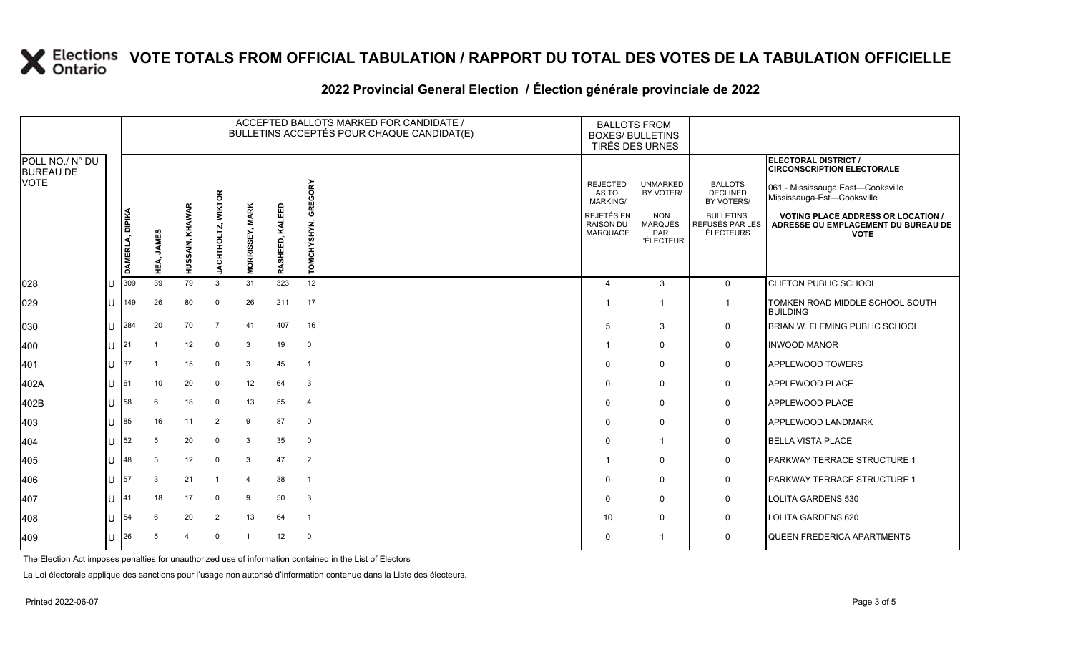#### **2022 Provincial General Election / Élection générale provinciale de 2022**

|                                     |   |                 |                     |                 |                |                                  |                    | ACCEPTED BALLOTS MARKED FOR CANDIDATE /<br>BULLETINS ACCEPTÉS POUR CHAQUE CANDIDAT(E) | <b>BALLOTS FROM</b><br><b>BOXES/ BULLETINS</b><br>TIRÉS DES URNES |                                                          |                                                         |                                                                                                 |
|-------------------------------------|---|-----------------|---------------------|-----------------|----------------|----------------------------------|--------------------|---------------------------------------------------------------------------------------|-------------------------------------------------------------------|----------------------------------------------------------|---------------------------------------------------------|-------------------------------------------------------------------------------------------------|
| POLL NO./ N° DU<br><b>BUREAU DE</b> |   |                 |                     |                 |                |                                  |                    |                                                                                       |                                                                   |                                                          |                                                         | ELECTORAL DISTRICT /<br><b>CIRCONSCRIPTION ÉLECTORALE</b>                                       |
| <b>VOTE</b>                         |   |                 |                     |                 | <b>WIKTOR</b>  |                                  |                    | GREGORY                                                                               | <b>REJECTED</b><br>AS TO<br>MARKING/                              | <b>UNMARKED</b><br>BY VOTER/                             | <b>BALLOTS</b><br><b>DECLINED</b><br>BY VOTERS/         | 061 - Mississauga East—Cooksville<br>Mississauga-Est-Cooksville                                 |
|                                     |   | DAMERLA, DIPIKA | <b>JAMES</b><br>ЕŃ. | HUSSAIN, KHAWAR | JACHTHOLTZ,    | <b>MARK</b><br><b>MORRISSEY,</b> | KALEED<br>RASHEED, | CHYSHYN,<br>TOMO                                                                      | REJETÉS EN<br><b>RAISON DU</b><br>MARQUAGE                        | <b>NON</b><br><b>MARQUÉS</b><br>PAR<br><b>L'ÉLECTEUR</b> | <b>BULLETINS</b><br>REFUSÉS PAR LES<br><b>ÉLECTEURS</b> | <b>VOTING PLACE ADDRESS OR LOCATION /</b><br>ADRESSE OU EMPLACEMENT DU BUREAU DE<br><b>VOTE</b> |
| 028                                 |   | 309             | 39                  | 79              | 3              | 31                               | 323                | 12                                                                                    | $\boldsymbol{\Delta}$                                             | 3                                                        | $\mathbf 0$                                             | <b>CLIFTON PUBLIC SCHOOL</b>                                                                    |
| 029                                 | U | 149             | 26                  | 80              | $\mathbf 0$    | 26                               | 211                | 17                                                                                    |                                                                   | $\overline{1}$                                           | $\overline{1}$                                          | TOMKEN ROAD MIDDLE SCHOOL SOUTH<br><b>BUILDING</b>                                              |
| 030                                 | Ū | 284             | 20                  | 70              | $\overline{7}$ | 41                               | 407                | 16                                                                                    | 5                                                                 | 3                                                        | 0                                                       | BRIAN W. FLEMING PUBLIC SCHOOL                                                                  |
| 400                                 | U | 21              |                     | 12              | $\mathbf 0$    | $\mathbf{3}$                     | 19                 | $\mathbf 0$                                                                           |                                                                   | $\mathbf 0$                                              | 0                                                       | <b>INWOOD MANOR</b>                                                                             |
| 401                                 | U | 37              |                     | 15              | $\Omega$       | 3                                | 45                 | $\overline{1}$                                                                        | $\Omega$                                                          | $\mathbf 0$                                              | 0                                                       | <b>APPLEWOOD TOWERS</b>                                                                         |
| 402A                                | U | 61              | 10                  | 20              | $\Omega$       | 12                               | 64                 | 3                                                                                     | $\Omega$                                                          | $\mathbf{0}$                                             | 0                                                       | <b>APPLEWOOD PLACE</b>                                                                          |
| 402B                                | U | 58              | 6                   | 18              | $\mathbf 0$    | 13                               | 55                 | $\overline{4}$                                                                        | $\Omega$                                                          | $\mathbf 0$                                              | $\mathbf 0$                                             | <b>APPLEWOOD PLACE</b>                                                                          |
| 403                                 | U | 85              | 16                  | 11              | 2              | 9                                | 87                 | $\mathbf 0$                                                                           | $\Omega$                                                          | $\Omega$                                                 | 0                                                       | <b>APPLEWOOD LANDMARK</b>                                                                       |
| 404                                 | U | 52              | 5                   | 20              | $\Omega$       | $\mathbf{3}$                     | 35                 | $\mathbf 0$                                                                           | $\Omega$                                                          | $\overline{1}$                                           | 0                                                       | <b>BELLA VISTA PLACE</b>                                                                        |
| 405                                 | U | 48              | 5                   | 12              | $\Omega$       | $\mathbf{3}$                     | 47                 | $\overline{2}$                                                                        |                                                                   | $\Omega$                                                 | $\mathbf 0$                                             | PARKWAY TERRACE STRUCTURE 1                                                                     |
| 406                                 | U | 57              | 3                   | 21              | -1             | $\overline{4}$                   | 38                 | $\overline{1}$                                                                        | $\Omega$                                                          | $\mathbf 0$                                              | 0                                                       | <b>PARKWAY TERRACE STRUCTURE 1</b>                                                              |
| 407                                 | U | 41              | 18                  | 17              | $\Omega$       | 9                                | 50                 | 3                                                                                     | $\Omega$                                                          | $\Omega$                                                 | 0                                                       | <b>LOLITA GARDENS 530</b>                                                                       |
| 408                                 | U | 54              | 6                   | 20              | $\overline{2}$ | 13                               | 64                 | $\overline{1}$                                                                        | 10                                                                | $\mathbf 0$                                              | 0                                                       | <b>LOLITA GARDENS 620</b>                                                                       |
| 409                                 | U | 26              | 5                   | 4               | $\Omega$       | $\overline{1}$                   | 12                 | $\mathbf 0$                                                                           | $\Omega$                                                          |                                                          | 0                                                       | <b>QUEEN FREDERICA APARTMENTS</b>                                                               |

The Election Act imposes penalties for unauthorized use of information contained in the List of Electors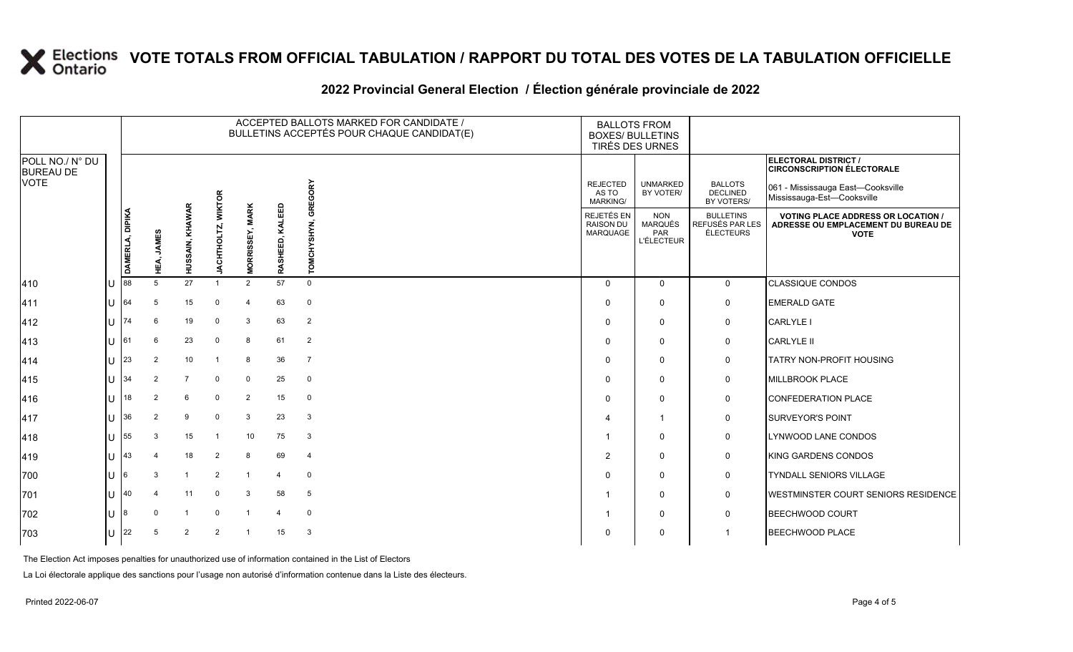### **2022 Provincial General Election / Élection générale provinciale de 2022**

|                                     |     |                 |            |                 |                |                               |                         | ACCEPTED BALLOTS MARKED FOR CANDIDATE /<br>BULLETINS ACCEPTÉS POUR CHAQUE CANDIDAT(E) | <b>BALLOTS FROM</b><br><b>BOXES/ BULLETINS</b><br>TIRÉS DES URNES |                                                   |                                                         |                                                                                                 |
|-------------------------------------|-----|-----------------|------------|-----------------|----------------|-------------------------------|-------------------------|---------------------------------------------------------------------------------------|-------------------------------------------------------------------|---------------------------------------------------|---------------------------------------------------------|-------------------------------------------------------------------------------------------------|
| POLL NO./ N° DU<br><b>BUREAU DE</b> |     |                 |            |                 |                |                               |                         |                                                                                       |                                                                   |                                                   |                                                         | ELECTORAL DISTRICT /<br><b>CIRCONSCRIPTION ÉLECTORALE</b>                                       |
| <b>VOTE</b>                         |     |                 |            |                 | క              |                               |                         | GREGORY                                                                               | <b>REJECTED</b><br>AS TO<br><b>MARKING/</b>                       | <b>UNMARKED</b><br>BY VOTER/                      | <b>BALLOTS</b><br>DECLINED<br>BY VOTERS/                | 061 - Mississauga East—Cooksville<br>Mississauga-Est-Cooksville                                 |
|                                     |     | DAMERLA, DIPIKA | HEA, JAMES | HUSSAIN, KHAWAR | ACHTHOL<br>∍   | <b>MARK</b><br>ORRISSEY,<br>Σ | KALEED<br>RASHEED,      | YSHYN,<br><b>TOMCH</b>                                                                | REJETÉS EN<br><b>RAISON DU</b><br>MARQUAGE                        | <b>NON</b><br>MARQUÉS<br>PAR<br><b>L'ÉLECTEUR</b> | <b>BULLETINS</b><br>REFUSÉS PAR LES<br><b>ÉLECTEURS</b> | <b>VOTING PLACE ADDRESS OR LOCATION /</b><br>ADRESSE OU EMPLACEMENT DU BUREAU DE<br><b>VOTE</b> |
| 410                                 | ΙU  | 88              | 5          | 27              |                | 2                             | 57                      | $\Omega$                                                                              | $\mathbf 0$                                                       | $\mathbf 0$                                       | $\mathbf 0$                                             | <b>CLASSIQUE CONDOS</b>                                                                         |
| 411                                 | IU. | 64              | 5          | 15              | $\mathbf 0$    | $\overline{4}$                | 63                      | $\mathbf 0$                                                                           | $\Omega$                                                          | $\Omega$                                          | $\mathbf 0$                                             | <b>EMERALD GATE</b>                                                                             |
| 412                                 | ΙU  | 74              | 6          | 19              | $\mathbf 0$    | 3                             | 63                      | $\overline{2}$                                                                        | $\mathbf 0$                                                       | $\Omega$                                          | 0                                                       | <b>CARLYLE I</b>                                                                                |
| 413                                 | ΙU  | 61              | 6          | 23              | $\mathbf 0$    | 8                             | 61                      | 2                                                                                     | $\Omega$                                                          | $\Omega$                                          | $\mathbf 0$                                             | <b>CARLYLE II</b>                                                                               |
| 414                                 | IU. | 23              | 2          | 10              | -1             | 8                             | 36                      | $\overline{7}$                                                                        | $\mathbf 0$                                                       | $\Omega$                                          | 0                                                       | <b>TATRY NON-PROFIT HOUSING</b>                                                                 |
| 415                                 | ΙU  | 34              | 2          | $\overline{7}$  | $\mathbf 0$    | $\mathbf 0$                   | 25                      | $\mathbf 0$                                                                           | $\Omega$                                                          | $\Omega$                                          | $\mathsf{O}$                                            | MILLBROOK PLACE                                                                                 |
| 416                                 | ΙU  | 18              | 2          | 6               | $\mathbf 0$    | $\overline{2}$                | 15                      | $\mathbf{0}$                                                                          | $\Omega$                                                          | $\Omega$                                          | $\mathbf 0$                                             | <b>CONFEDERATION PLACE</b>                                                                      |
| 417                                 | ΙU  | 36              | 2          | 9               | $\mathbf 0$    | 3                             | 23                      | $\mathbf{3}$                                                                          | $\boldsymbol{\varDelta}$                                          | 1                                                 | $\mathsf{O}$                                            | <b>SURVEYOR'S POINT</b>                                                                         |
| 418                                 | lU. | 55              | 3          | 15              | -1             | 10                            | 75                      | 3                                                                                     | - 1                                                               | $\Omega$                                          | $\mathsf{O}$                                            | LYNWOOD LANE CONDOS                                                                             |
| 419                                 | IU. | 43              |            | 18              | $\overline{2}$ | 8                             | 69                      | $\overline{4}$                                                                        | $\overline{2}$                                                    | $\Omega$                                          | $\mathsf{O}$                                            | KING GARDENS CONDOS                                                                             |
| 700                                 | IU  | 6               | 3          | $\mathbf{1}$    | 2              | $\overline{1}$                | 4                       | $\mathbf 0$                                                                           | $\Omega$                                                          | $\Omega$                                          | $\mathsf{O}$                                            | <b>TYNDALL SENIORS VILLAGE</b>                                                                  |
| 701                                 | ΙU  | 40              |            | 11              | $\mathbf 0$    | 3                             | 58                      | $5\phantom{.0}$                                                                       | - 1                                                               | $\Omega$                                          | 0                                                       | WESTMINSTER COURT SENIORS RESIDENCE                                                             |
| 702                                 | IU. | 8               |            | $\mathbf{1}$    | $\mathbf 0$    | $\overline{1}$                | $\overline{\mathbf{A}}$ | $\Omega$                                                                              |                                                                   | 0                                                 | $\mathbf 0$                                             | <b>BEECHWOOD COURT</b>                                                                          |
| 703                                 | IU. | 22              | .5         | $\overline{2}$  | $\overline{2}$ |                               | 15                      | $\mathbf{3}$                                                                          | $\Omega$                                                          | $\Omega$                                          |                                                         | <b>BEECHWOOD PLACE</b>                                                                          |

The Election Act imposes penalties for unauthorized use of information contained in the List of Electors